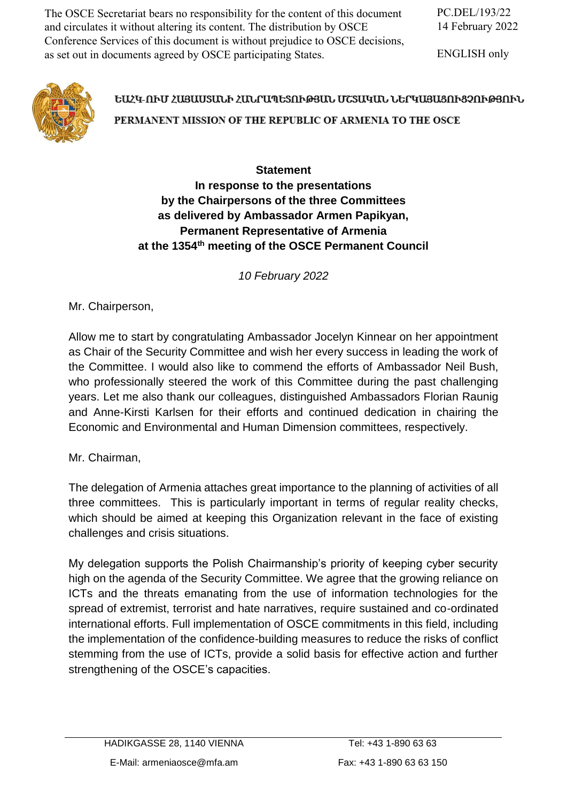The OSCE Secretariat bears no responsibility for the content of this document and circulates it without altering its content. The distribution by OSCE Conference Services of this document is without prejudice to OSCE decisions, as set out in documents agreed by OSCE participating States.

ENGLISH only



## ԵԱՀԿ-ՈՒՄ ՀԱՑԱՍՏԱՆԻ ՀԱՆՐԱՊԵՏՈՒԹՅԱՆ ՄՇՏԱԿԱՆ ՆԵՐԿԱՑԱՑՈՒՑՉՈՒԹՅՈՒՆ PERMANENT MISSION OF THE REPUBLIC OF ARMENIA TO THE OSCE

## **Statement In response to the presentations by the Chairpersons of the three Committees as delivered by Ambassador Armen Papikyan, Permanent Representative of Armenia at the 1354th meeting of the OSCE Permanent Council**

*10 February 2022*

Mr. Chairperson,

Allow me to start by congratulating Ambassador Jocelyn Kinnear on her appointment as Chair of the Security Committee and wish her every success in leading the work of the Committee. I would also like to commend the efforts of Ambassador Neil Bush, who professionally steered the work of this Committee during the past challenging years. Let me also thank our colleagues, distinguished Ambassadors Florian Raunig and Anne-Kirsti Karlsen for their efforts and continued dedication in chairing the Economic and Environmental and Human Dimension committees, respectively.

Mr. Chairman,

The delegation of Armenia attaches great importance to the planning of activities of all three committees. This is particularly important in terms of regular reality checks, which should be aimed at keeping this Organization relevant in the face of existing challenges and crisis situations.

My delegation supports the Polish Chairmanship's priority of keeping cyber security high on the agenda of the Security Committee. We agree that the growing reliance on ICTs and the threats emanating from the use of information technologies for the spread of extremist, terrorist and hate narratives, require sustained and co-ordinated international efforts. Full implementation of OSCE commitments in this field, including the implementation of the confidence-building measures to reduce the risks of conflict stemming from the use of ICTs, provide a solid basis for effective action and further strengthening of the OSCE's capacities.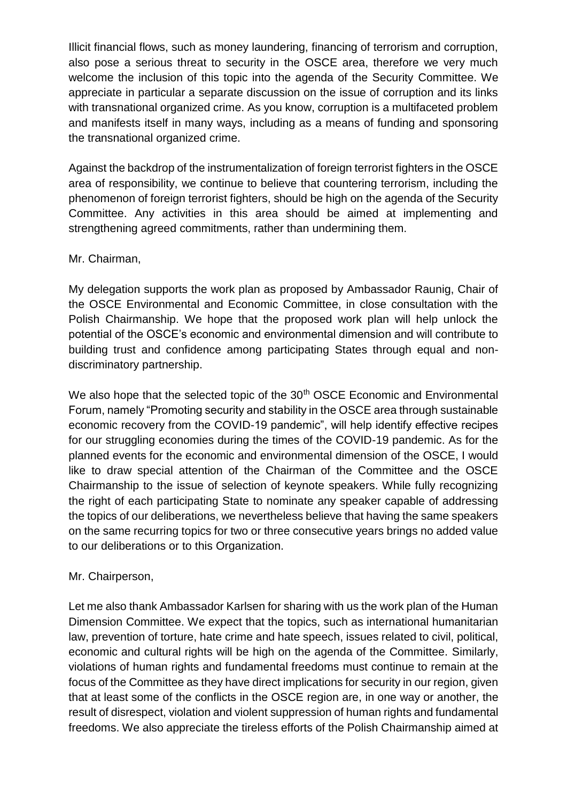Illicit financial flows, such as money laundering, financing of terrorism and corruption, also pose a serious threat to security in the OSCE area, therefore we very much welcome the inclusion of this topic into the agenda of the Security Committee. We appreciate in particular a separate discussion on the issue of corruption and its links with transnational organized crime. As you know, corruption is a multifaceted problem and manifests itself in many ways, including as a means of funding and sponsoring the transnational organized crime.

Against the backdrop of the instrumentalization of foreign terrorist fighters in the OSCE area of responsibility, we continue to believe that countering terrorism, including the phenomenon of foreign terrorist fighters, should be high on the agenda of the Security Committee. Any activities in this area should be aimed at implementing and strengthening agreed commitments, rather than undermining them.

## Mr. Chairman,

My delegation supports the work plan as proposed by Ambassador Raunig, Chair of the OSCE Environmental and Economic Committee, in close consultation with the Polish Chairmanship. We hope that the proposed work plan will help unlock the potential of the OSCE's economic and environmental dimension and will contribute to building trust and confidence among participating States through equal and nondiscriminatory partnership.

We also hope that the selected topic of the 30<sup>th</sup> OSCE Economic and Environmental Forum, namely "Promoting security and stability in the OSCE area through sustainable economic recovery from the COVID-19 pandemic", will help identify effective recipes for our struggling economies during the times of the COVID-19 pandemic. As for the planned events for the economic and environmental dimension of the OSCE, I would like to draw special attention of the Chairman of the Committee and the OSCE Chairmanship to the issue of selection of keynote speakers. While fully recognizing the right of each participating State to nominate any speaker capable of addressing the topics of our deliberations, we nevertheless believe that having the same speakers on the same recurring topics for two or three consecutive years brings no added value to our deliberations or to this Organization.

## Mr. Chairperson,

Let me also thank Ambassador Karlsen for sharing with us the work plan of the Human Dimension Committee. We expect that the topics, such as international humanitarian law, prevention of torture, hate crime and hate speech, issues related to civil, political, economic and cultural rights will be high on the agenda of the Committee. Similarly, violations of human rights and fundamental freedoms must continue to remain at the focus of the Committee as they have direct implications for security in our region, given that at least some of the conflicts in the OSCE region are, in one way or another, the result of disrespect, violation and violent suppression of human rights and fundamental freedoms. We also appreciate the tireless efforts of the Polish Chairmanship aimed at